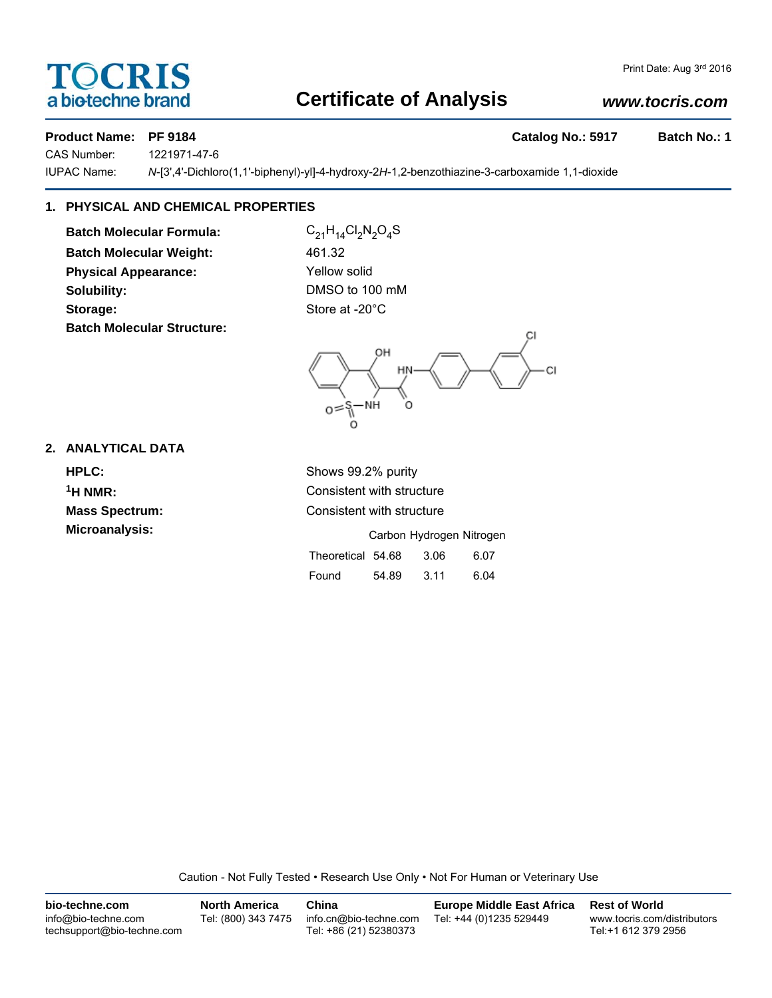# TOCRIS a biotechne brand

## **Certificate of Analysis**

## *www.tocris.com*

### **Product Name: PF 9184 Catalog No.: 5917 Batch No.: 1**

CAS Number: 1221971-47-6

IUPAC Name: *N*-[3',4'-Dichloro(1,1'-biphenyl)-yl]-4-hydroxy-2*H*-1,2-benzothiazine-3-carboxamide 1,1-dioxide

## **1. PHYSICAL AND CHEMICAL PROPERTIES**

**Batch Molecular Formula:** C<sub>21</sub>H<sub>14</sub>Cl<sub>2</sub>N<sub>2</sub>O<sub>4</sub>S **Batch Molecular Weight:** 461.32 **Physical Appearance:** Yellow solid **Solubility:** DMSO to 100 mM Storage: Store at -20°C **Batch Molecular Structure:**



## **2. ANALYTICAL DATA**

**HPLC:** Shows 99.2% purity **Microanalysis:** 

**1H NMR:** Consistent with structure **Mass Spectrum:** Consistent with structure

|                   |       |      | Carbon Hydrogen Nitrogen |
|-------------------|-------|------|--------------------------|
| Theoretical 54.68 |       | 3.06 | 6.07                     |
| Found             | 54.89 | 3.11 | 6.04                     |

Caution - Not Fully Tested • Research Use Only • Not For Human or Veterinary Use

| bio-techne.com                                    | <b>North America</b> | China                                            | <b>Europe Middle East Africa</b> | <b>Rest of World</b>                               |
|---------------------------------------------------|----------------------|--------------------------------------------------|----------------------------------|----------------------------------------------------|
| info@bio-techne.com<br>techsupport@bio-techne.com | Tel: (800) 343 7475  | info.cn@bio-techne.com<br>Tel: +86 (21) 52380373 | Tel: +44 (0)1235 529449          | www.tocris.com/distributors<br>Tel:+1 612 379 2956 |